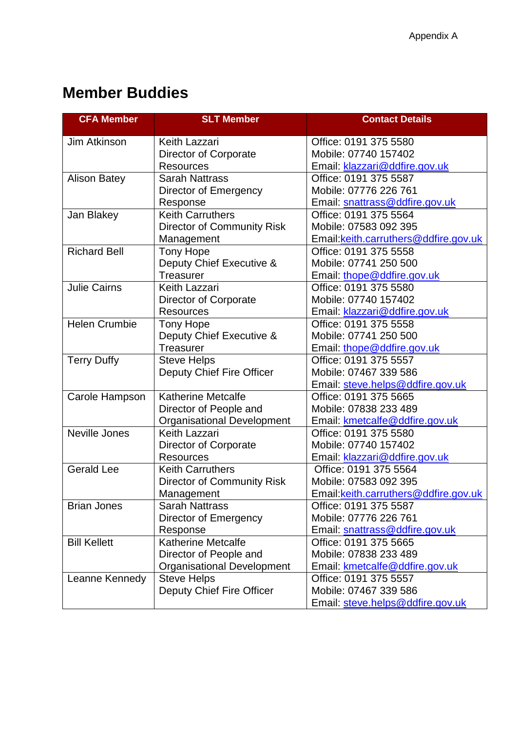## **Member Buddies**

| <b>CFA Member</b>    | <b>SLT Member</b>                 | <b>Contact Details</b>                |
|----------------------|-----------------------------------|---------------------------------------|
| Jim Atkinson         | Keith Lazzari                     | Office: 0191 375 5580                 |
|                      | Director of Corporate             | Mobile: 07740 157402                  |
|                      | <b>Resources</b>                  | Email: klazzari@ddfire.gov.uk         |
| <b>Alison Batey</b>  | <b>Sarah Nattrass</b>             | Office: 0191 375 5587                 |
|                      | Director of Emergency             | Mobile: 07776 226 761                 |
|                      | Response                          | Email: snattrass@ddfire.gov.uk        |
| Jan Blakey           | <b>Keith Carruthers</b>           | Office: 0191 375 5564                 |
|                      | <b>Director of Community Risk</b> | Mobile: 07583 092 395                 |
|                      | Management                        | Email: keith.carruthers@ddfire.gov.uk |
| <b>Richard Bell</b>  | <b>Tony Hope</b>                  | Office: 0191 375 5558                 |
|                      | Deputy Chief Executive &          | Mobile: 07741 250 500                 |
|                      | Treasurer                         | Email: thope@ddfire.gov.uk            |
| <b>Julie Cairns</b>  | Keith Lazzari                     | Office: 0191 375 5580                 |
|                      | Director of Corporate             | Mobile: 07740 157402                  |
|                      | <b>Resources</b>                  | Email: klazzari@ddfire.gov.uk         |
| <b>Helen Crumbie</b> | Tony Hope                         | Office: 0191 375 5558                 |
|                      | Deputy Chief Executive &          | Mobile: 07741 250 500                 |
|                      | <b>Treasurer</b>                  | Email: thope@ddfire.gov.uk            |
| <b>Terry Duffy</b>   | <b>Steve Helps</b>                | Office: 0191 375 5557                 |
|                      | Deputy Chief Fire Officer         | Mobile: 07467 339 586                 |
|                      |                                   | Email: steve.helps@ddfire.gov.uk      |
| Carole Hampson       | <b>Katherine Metcalfe</b>         | Office: 0191 375 5665                 |
|                      | Director of People and            | Mobile: 07838 233 489                 |
|                      | <b>Organisational Development</b> | Email: kmetcalfe@ddfire.gov.uk        |
| Neville Jones        | Keith Lazzari                     | Office: 0191 375 5580                 |
|                      | Director of Corporate             | Mobile: 07740 157402                  |
|                      | <b>Resources</b>                  | Email: klazzari@ddfire.gov.uk         |
| <b>Gerald Lee</b>    | <b>Keith Carruthers</b>           | Office: 0191 375 5564                 |
|                      | <b>Director of Community Risk</b> | Mobile: 07583 092 395                 |
|                      | Management                        | Email: keith.carruthers@ddfire.gov.uk |
| <b>Brian Jones</b>   | <b>Sarah Nattrass</b>             | Office: 0191 375 5587                 |
|                      | Director of Emergency             | Mobile: 07776 226 761                 |
|                      | Response                          | Email: snattrass@ddfire.gov.uk        |
| <b>Bill Kellett</b>  | <b>Katherine Metcalfe</b>         | Office: 0191 375 5665                 |
|                      | Director of People and            | Mobile: 07838 233 489                 |
|                      | <b>Organisational Development</b> | Email: kmetcalfe@ddfire.gov.uk        |
| Leanne Kennedy       | <b>Steve Helps</b>                | Office: 0191 375 5557                 |
|                      | Deputy Chief Fire Officer         | Mobile: 07467 339 586                 |
|                      |                                   | Email: steve.helps@ddfire.gov.uk      |